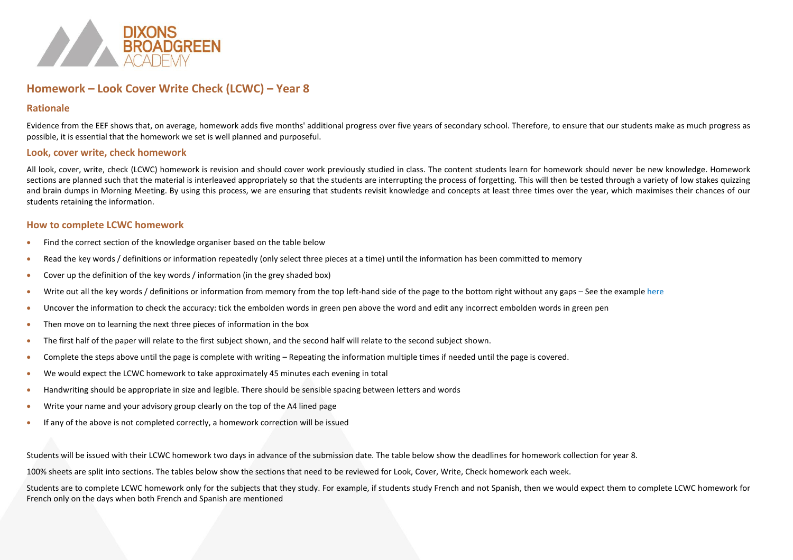

# **Homework – Look Cover Write Check (LCWC) – Year 8**

### **Rationale**

Evidence from the EEF shows that, on average, homework adds five months' additional progress over five years of secondary school. Therefore, to ensure that our students make as much progress as possible, it is essential that the homework we set is well planned and purposeful.

### **Look, cover write, check homework**

All look, cover, write, check (LCWC) homework is revision and should cover work previously studied in class. The content students learn for homework should never be new knowledge. Homework sections are planned such that the material is interleaved appropriately so that the students are interrupting the process of forgetting. This will then be tested through a variety of low stakes quizzing and brain dumps in Morning Meeting. By using this process, we are ensuring that students revisit knowledge and concepts at least three times over the year, which maximises their chances of our students retaining the information.

## **How to complete LCWC homework**

- Find the correct section of the knowledge organiser based on the table below
- Read the key words / definitions or information repeatedly (only select three pieces at a time) until the information has been committed to memory
- Cover up the definition of the key words / information (in the grey shaded box)
- Write out all the key words / definitions or information from memory from the top left-hand side of the page to the bottom right without any gaps See the example here
- Uncover the information to check the accuracy: tick the embolden words in green pen above the word and edit any incorrect embolden words in green pen
- Then move on to learning the next three pieces of information in the box
- The first half of the paper will relate to the first subject shown, and the second half will relate to the second subject shown.
- Complete the steps above until the page is complete with writing Repeating the information multiple times if needed until the page is covered.
- We would expect the LCWC homework to take approximately 45 minutes each evening in total
- Handwriting should be appropriate in size and legible. There should be sensible spacing between letters and words
- Write your name and your advisory group clearly on the top of the A4 lined page
- If any of the above is not completed correctly, a homework correction will be issued

Students will be issued with their LCWC homework two days in advance of the submission date. The table below show the deadlines for homework collection for year 8.

100% sheets are split into sections. The tables below show the sections that need to be reviewed for Look, Cover, Write, Check homework each week.

Students are to complete LCWC homework only for the subjects that they study. For example, if students study French and not Spanish, then we would expect them to complete LCWC homework for French only on the days when both French and Spanish are mentioned